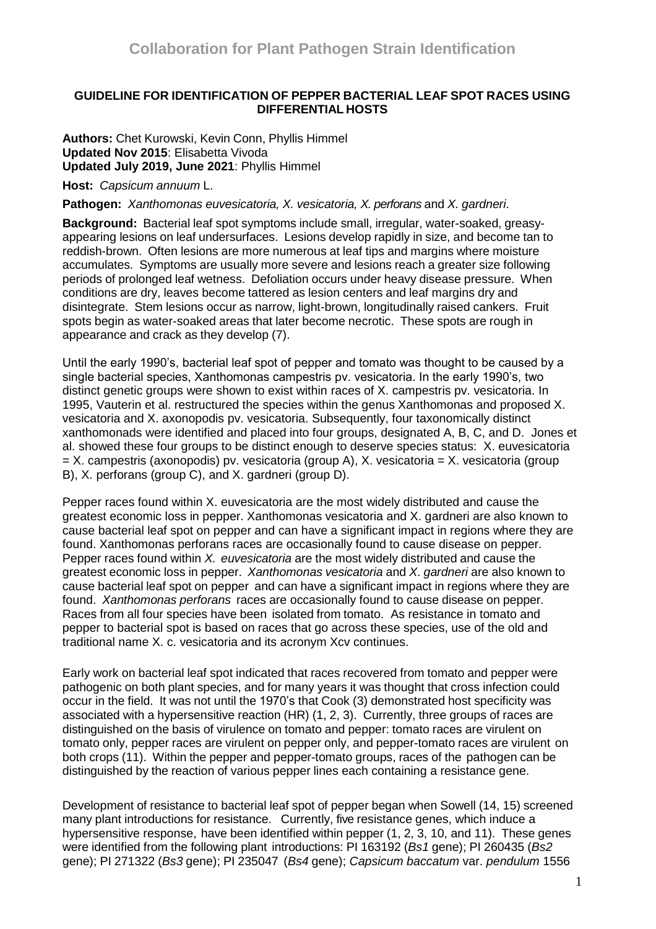# **GUIDELINE FOR IDENTIFICATION OF PEPPER BACTERIAL LEAF SPOT RACES USING DIFFERENTIAL HOSTS**

**Authors:** Chet Kurowski, Kevin Conn, Phyllis Himmel **Updated Nov 2015**: Elisabetta Vivoda **Updated July 2019, June 2021**: Phyllis Himmel

**Host:** *Capsicum annuum* L.

**Pathogen:** *Xanthomonas euvesicatoria, X. vesicatoria, X. perforans* and *X. gardneri*.

**Background:** Bacterial leaf spot symptoms include small, irregular, water-soaked, greasyappearing lesions on leaf undersurfaces. Lesions develop rapidly in size, and become tan to reddish-brown. Often lesions are more numerous at leaf tips and margins where moisture accumulates. Symptoms are usually more severe and lesions reach a greater size following periods of prolonged leaf wetness. Defoliation occurs under heavy disease pressure. When conditions are dry, leaves become tattered as lesion centers and leaf margins dry and disintegrate. Stem lesions occur as narrow, light-brown, longitudinally raised cankers. Fruit spots begin as water-soaked areas that later become necrotic. These spots are rough in appearance and crack as they develop (7).

Until the early 1990's, bacterial leaf spot of pepper and tomato was thought to be caused by a single bacterial species, Xanthomonas campestris pv. vesicatoria. In the early 1990's, two distinct genetic groups were shown to exist within races of X. campestris pv. vesicatoria. In 1995, Vauterin et al. restructured the species within the genus Xanthomonas and proposed X. vesicatoria and X. axonopodis pv. vesicatoria. Subsequently, four taxonomically distinct xanthomonads were identified and placed into four groups, designated A, B, C, and D. Jones et al. showed these four groups to be distinct enough to deserve species status: X. euvesicatoria  $=$  X. campestris (axonopodis) pv. vesicatoria (group A), X. vesicatoria  $=$  X. vesicatoria (group B), X. perforans (group C), and X. gardneri (group D).

Pepper races found within X. euvesicatoria are the most widely distributed and cause the greatest economic loss in pepper. Xanthomonas vesicatoria and X. gardneri are also known to cause bacterial leaf spot on pepper and can have a significant impact in regions where they are found. Xanthomonas perforans races are occasionally found to cause disease on pepper. Pepper races found within *X. euvesicatoria* are the most widely distributed and cause the greatest economic loss in pepper. *Xanthomonas vesicatoria* and *X*. *gardneri* are also known to cause bacterial leaf spot on pepper and can have a significant impact in regions where they are found. *Xanthomonas perforans* races are occasionally found to cause disease on pepper. Races from all four species have been isolated from tomato. As resistance in tomato and pepper to bacterial spot is based on races that go across these species, use of the old and traditional name X. c. vesicatoria and its acronym Xcv continues.

Early work on bacterial leaf spot indicated that races recovered from tomato and pepper were pathogenic on both plant species, and for many years it was thought that cross infection could occur in the field. It was not until the 1970's that Cook (3) demonstrated host specificity was associated with a hypersensitive reaction (HR) (1, 2, 3). Currently, three groups of races are distinguished on the basis of virulence on tomato and pepper: tomato races are virulent on tomato only, pepper races are virulent on pepper only, and pepper-tomato races are virulent on both crops (11). Within the pepper and pepper-tomato groups, races of the pathogen can be distinguished by the reaction of various pepper lines each containing a resistance gene.

Development of resistance to bacterial leaf spot of pepper began when Sowell (14, 15) screened many plant introductions for resistance. Currently, five resistance genes, which induce a hypersensitive response, have been identified within pepper (1, 2, 3, 10, and 11). These genes were identified from the following plant introductions: PI 163192 (*Bs1* gene); PI 260435 (*Bs2* gene); PI 271322 (*Bs3* gene); PI 235047 (*Bs4* gene); *Capsicum baccatum* var. *pendulum* 1556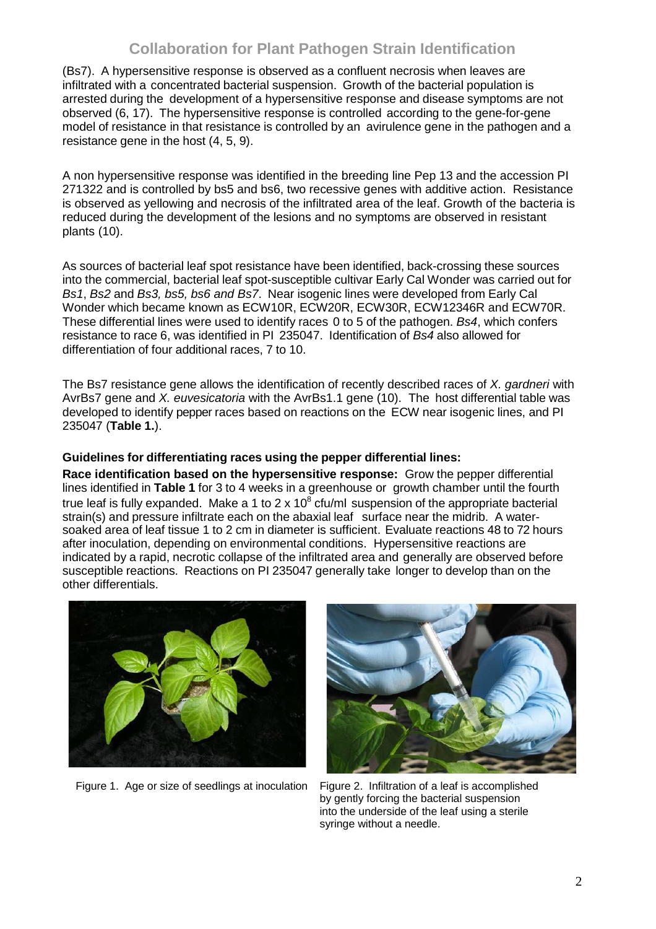# **Collaboration for Plant Pathogen Strain Identification**

(Bs7). A hypersensitive response is observed as a confluent necrosis when leaves are infiltrated with a concentrated bacterial suspension. Growth of the bacterial population is arrested during the development of a hypersensitive response and disease symptoms are not observed (6, 17). The hypersensitive response is controlled according to the gene-for-gene model of resistance in that resistance is controlled by an avirulence gene in the pathogen and a resistance gene in the host (4, 5, 9).

A non hypersensitive response was identified in the breeding line Pep 13 and the accession PI 271322 and is controlled by bs5 and bs6, two recessive genes with additive action. Resistance is observed as yellowing and necrosis of the infiltrated area of the leaf. Growth of the bacteria is reduced during the development of the lesions and no symptoms are observed in resistant plants (10).

As sources of bacterial leaf spot resistance have been identified, back-crossing these sources into the commercial, bacterial leaf spot-susceptible cultivar Early Cal Wonder was carried out for *Bs1*, *Bs2* and *Bs3, bs5, bs6 and Bs7*. Near isogenic lines were developed from Early Cal Wonder which became known as ECW10R, ECW20R, ECW30R, ECW12346R and ECW70R. These differential lines were used to identify races 0 to 5 of the pathogen. *Bs4*, which confers resistance to race 6, was identified in PI 235047. Identification of *Bs4* also allowed for differentiation of four additional races, 7 to 10.

The Bs7 resistance gene allows the identification of recently described races of *X. gardneri* with AvrBs7 gene and *X. euvesicatoria* with the AvrBs1.1 gene (10). The host differential table was developed to identify pepper races based on reactions on the ECW near isogenic lines, and PI 235047 (**Table 1.**).

# **Guidelines for differentiating races using the pepper differential lines:**

**Race identification based on the hypersensitive response:** Grow the pepper differential lines identified in **Table 1** for 3 to 4 weeks in a greenhouse or growth chamber until the fourth true leaf is fully expanded. Make a 1 to 2 x 10 $^8$  cfu/ml suspension of the appropriate bacterial strain(s) and pressure infiltrate each on the abaxial leaf surface near the midrib. A watersoaked area of leaf tissue 1 to 2 cm in diameter is sufficient. Evaluate reactions 48 to 72 hours after inoculation, depending on environmental conditions. Hypersensitive reactions are indicated by a rapid, necrotic collapse of the infiltrated area and generally are observed before susceptible reactions. Reactions on PI 235047 generally take longer to develop than on the other differentials.



Figure 1. Age or size of seedlings at inoculation Figure 2. Infiltration of a leaf is accomplished



by gently forcing the bacterial suspension into the underside of the leaf using a sterile syringe without a needle.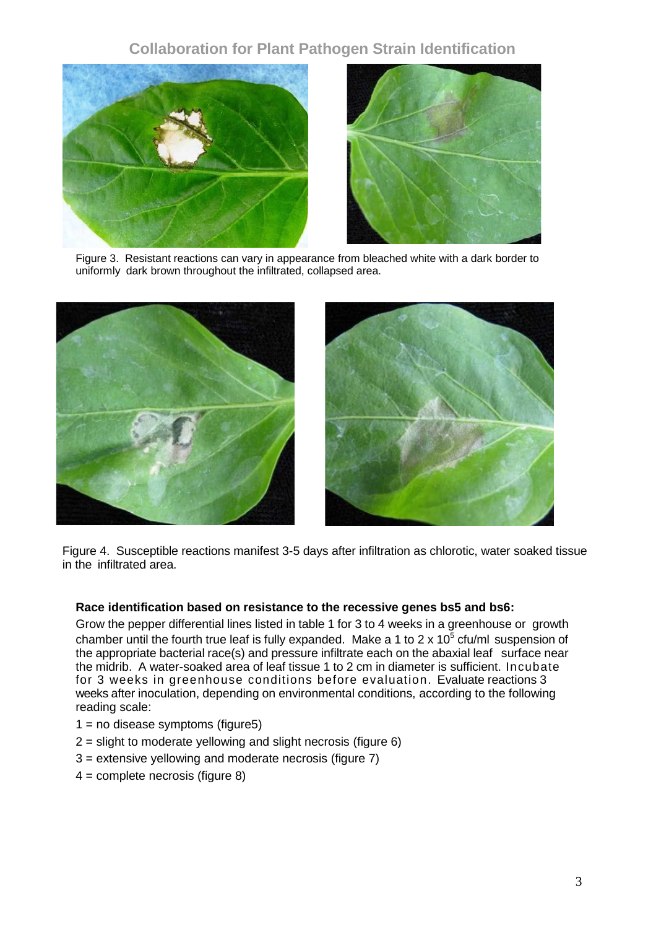# **Collaboration for Plant Pathogen Strain Identification**





Figure 3. Resistant reactions can vary in appearance from bleached white with a dark border to uniformly dark brown throughout the infiltrated, collapsed area.





Figure 4. Susceptible reactions manifest 3-5 days after infiltration as chlorotic, water soaked tissue in the infiltrated area.

# **Race identification based on resistance to the recessive genes bs5 and bs6:**

Grow the pepper differential lines listed in table 1 for 3 to 4 weeks in a greenhouse or growth chamber until the fourth true leaf is fully expanded. Make a 1 to 2 x 10<sup>5</sup> cfu/ml suspension of the appropriate bacterial race(s) and pressure infiltrate each on the abaxial leaf surface near the midrib. A water-soaked area of leaf tissue 1 to 2 cm in diameter is sufficient. Incubate for 3 weeks in greenhouse conditions before evaluation. Evaluate reactions 3 weeks after inoculation, depending on environmental conditions, according to the following reading scale:

- $1 = no$  disease symptoms (figure5)
- 2 = slight to moderate yellowing and slight necrosis (figure 6)
- 3 = extensive yellowing and moderate necrosis (figure 7)
- 4 = complete necrosis (figure 8)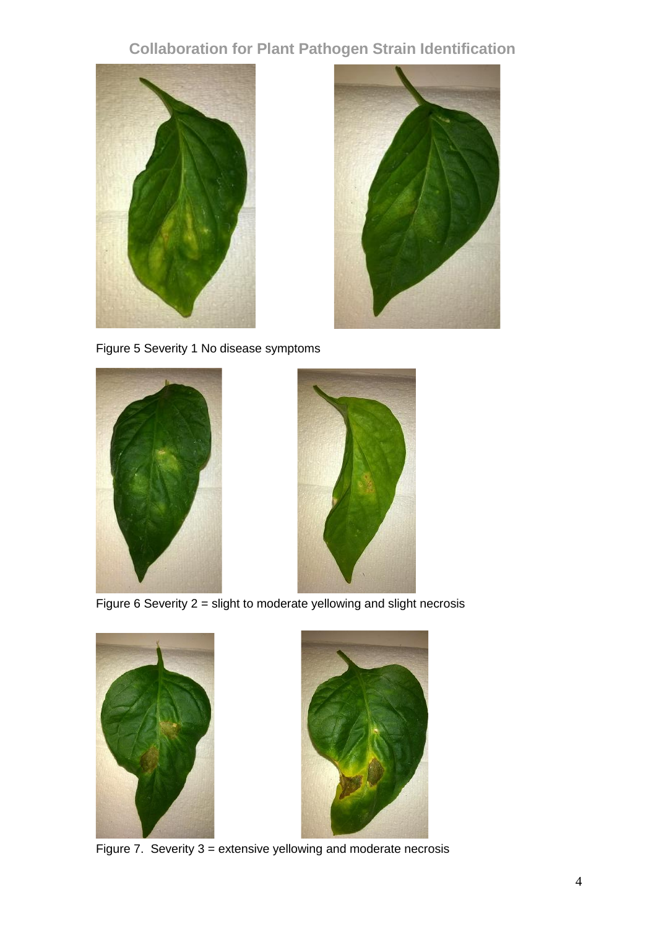# **Collaboration for Plant Pathogen Strain Identification**





Figure 5 Severity 1 No disease symptoms





Figure 6 Severity 2 = slight to moderate yellowing and slight necrosis





Figure 7. Severity 3 = extensive yellowing and moderate necrosis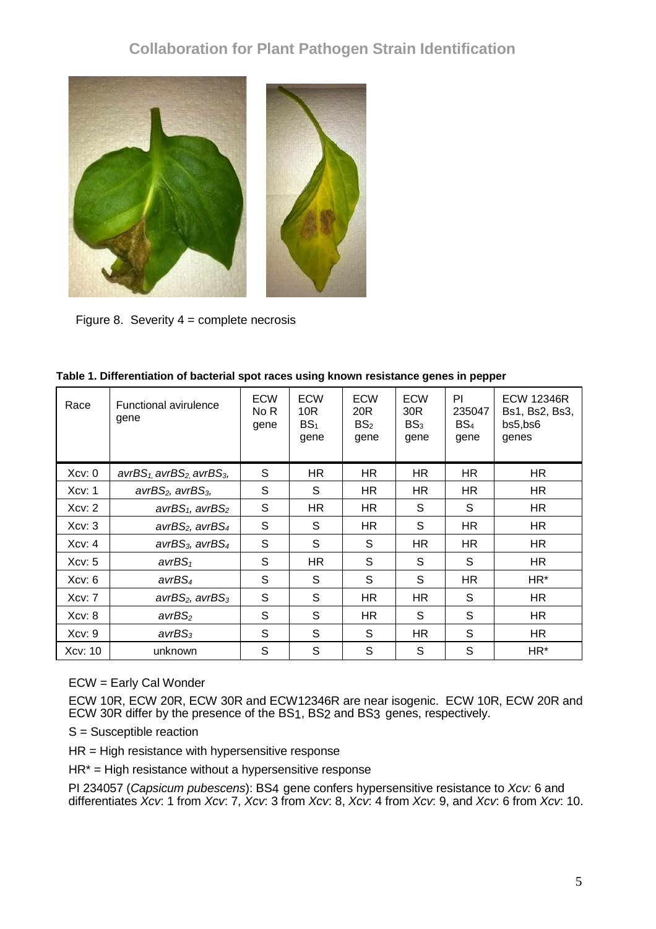

Figure 8. Severity 4 = complete necrosis

| Race    | <b>Functional avirulence</b><br>gene              | <b>ECW</b><br>No R<br>gene | <b>ECW</b><br>10R<br>BS <sub>1</sub><br>gene | <b>ECW</b><br>20R<br>BS <sub>2</sub><br>gene | <b>ECW</b><br>30 <sub>R</sub><br>BS <sub>3</sub><br>gene | PI<br>235047<br>BS <sub>4</sub><br>gene | <b>ECW 12346R</b><br>Bs1, Bs2, Bs3,<br>bs5,bs6<br>genes |
|---------|---------------------------------------------------|----------------------------|----------------------------------------------|----------------------------------------------|----------------------------------------------------------|-----------------------------------------|---------------------------------------------------------|
| Xcv: 0  | $avrBS_1$ avrBS <sub>2</sub> avrBS <sub>3</sub> , | S                          | HR.                                          | HR.                                          | HR.                                                      | HR                                      | HR.                                                     |
| Xcv: 1  | $avrBS2$ , $avrBS3$ ,                             | S                          | S                                            | HR.                                          | HR                                                       | HR.                                     | HR.                                                     |
| Xcv: 2  | $avrBS_1$ , $avrBS_2$                             | S                          | HR.                                          | HR.                                          | S                                                        | S                                       | HR                                                      |
| Xcv: 3  | $avrBS2$ , $avrBS4$                               | S                          | S                                            | HR.                                          | S                                                        | HR.                                     | HR.                                                     |
| Xcv: 4  | avr $BS_3$ , avr $BS_4$                           | S                          | S                                            | S                                            | HR                                                       | HR.                                     | HR.                                                     |
| Xcv: 5  | $avrBS_1$                                         | S                          | <b>HR</b>                                    | S                                            | S                                                        | S                                       | HR                                                      |
| Xcv: 6  | avrBS <sub>4</sub>                                | S                          | S                                            | S                                            | S                                                        | HR.                                     | HR*                                                     |
| Xcv: 7  | $avrBS2$ , $avrBS3$                               | S                          | S                                            | HR.                                          | HR                                                       | S                                       | HR.                                                     |
| Xcv: 8  | avrBS <sub>2</sub>                                | S                          | S                                            | HR.                                          | S                                                        | S                                       | HR                                                      |
| Xcv: 9  | avrBS <sub>3</sub>                                | S                          | S                                            | S                                            | HR                                                       | S                                       | HR.                                                     |
| Xcv: 10 | unknown                                           | S                          | S                                            | S                                            | S                                                        | S                                       | HR*                                                     |

|  |  | Table 1. Differentiation of bacterial spot races using known resistance genes in pepper |
|--|--|-----------------------------------------------------------------------------------------|
|  |  |                                                                                         |

ECW = Early Cal Wonder

ECW 10R, ECW 20R, ECW 30R and ECW12346R are near isogenic. ECW 10R, ECW 20R and ECW 30R differ by the presence of the BS1, BS2 and BS3 genes, respectively.

S = Susceptible reaction

HR = High resistance with hypersensitive response

HR\* = High resistance without a hypersensitive response

PI 234057 (*Capsicum pubescens*): BS4 gene confers hypersensitive resistance to *Xcv:* 6 and differentiates *Xcv*: 1 from *Xcv*: 7, *Xcv*: 3 from *Xcv*: 8, *Xcv*: 4 from *Xcv*: 9, and *Xcv*: 6 from *Xcv*: 10.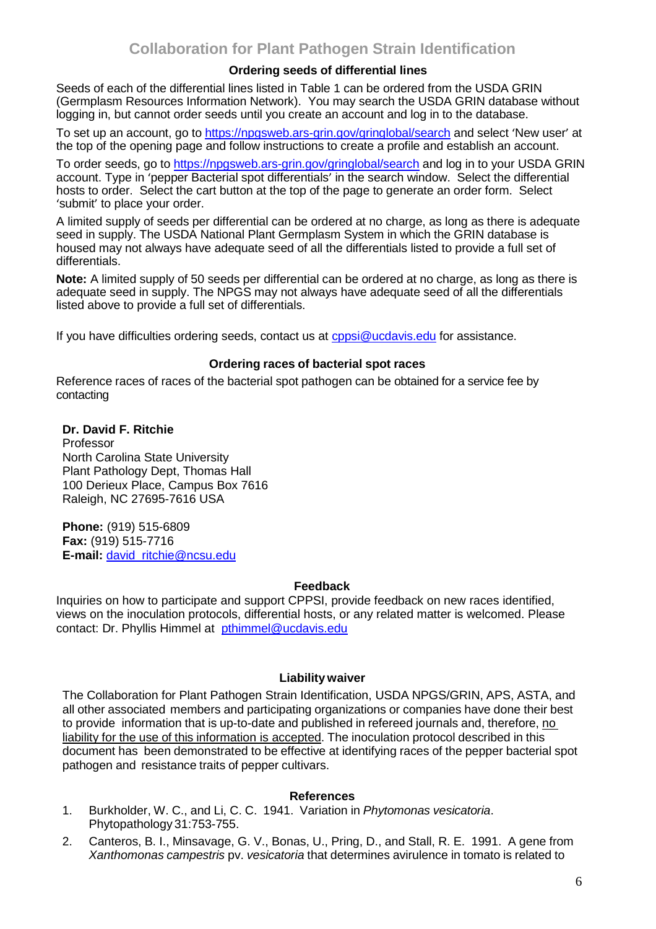# **Ordering seeds of differential lines**

Seeds of each of the differential lines listed in Table 1 can be ordered from the USDA GRIN (Germplasm Resources Information Network). You may search the USDA GRIN database without logging in, but cannot order seeds until you create an account and log in to the database.

To set up an account, go to [https://npgsweb.ars-grin.gov/gringlobal/search](https://npgsweb.ars-grin.gov/gringlobal/search.) and select 'New user' at the top of the opening page and follow instructions to create a profile and establish an account.

To order seeds, go to<https://npgsweb.ars-grin.gov/gringlobal/search> and log in to your USDA GRIN account. Type in 'pepper Bacterial spot differentials' in the search window. Select the differential hosts to order. Select the cart button at the top of the page to generate an order form. Select 'submit' to place your order.

A limited supply of seeds per differential can be ordered at no charge, as long as there is adequate seed in supply. The USDA National Plant Germplasm System in which the GRIN database is housed may not always have adequate seed of all the differentials listed to provide a full set of differentials.

**Note:** A limited supply of 50 seeds per differential can be ordered at no charge, as long as there is adequate seed in supply. The NPGS may not always have adequate seed of all the differentials listed above to provide a full set of differentials.

If you have difficulties ordering seeds, contact us at [cppsi@ucdavis.edu](mailto:cppsi@ucdavis.edu) for assistance.

#### **Ordering races of bacterial spot races**

Reference races of races of the bacterial spot pathogen can be obtained for a service fee by contacting

**Dr. David F. Ritchie** Professor North Carolina State University Plant Pathology Dept, Thomas Hall 100 Derieux Place, Campus Box 7616 Raleigh, NC 27695-7616 USA

**Phone:** (919) 515-6809 **Fax:** (919) 515-7716 **E-mail:** [david\\_ritchie@ncsu.edu](mailto:david_ritchie@ncsu.edu)

# **Feedback**

Inquiries on how to participate and support CPPSI, provide feedback on new races identified, views on the inoculation protocols, differential hosts, or any related matter is welcomed. Please contact: Dr. Phyllis Himmel at [pthimmel@ucdavis.edu](mailto:pthimmel@ucdavis.edu)

# **Liability waiver**

The Collaboration for Plant Pathogen Strain Identification, USDA NPGS/GRIN, APS, ASTA, and all other associated members and participating organizations or companies have done their best to provide information that is up-to-date and published in refereed journals and, therefore, no liability for the use of this information is accepted. The inoculation protocol described in this document has been demonstrated to be effective at identifying races of the pepper bacterial spot pathogen and resistance traits of pepper cultivars.

# **References**

- 1. Burkholder, W. C., and Li, C. C. 1941. Variation in *Phytomonas vesicatoria*. Phytopathology 31:753-755.
- 2. Canteros, B. I., Minsavage, G. V., Bonas, U., Pring, D., and Stall, R. E. 1991. A gene from *Xanthomonas campestris* pv. *vesicatoria* that determines avirulence in tomato is related to